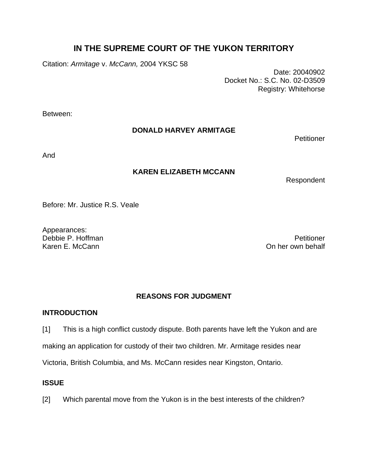# **IN THE SUPREME COURT OF THE YUKON TERRITORY**

Citation: *Armitage* v. *McCann,* 2004 YKSC 58

Date: 20040902 Docket No.: S.C. No. 02-D3509 Registry: Whitehorse

Between:

# **DONALD HARVEY ARMITAGE**

**Petitioner** 

And

# **KAREN ELIZABETH MCCANN**

Respondent

Before: Mr. Justice R.S. Veale

Appearances: Debbie P. Hoffman Petitioner<br>Karen F. McCann Petitioner<br>On her own behalf

On her own behalf

# **REASONS FOR JUDGMENT**

# **INTRODUCTION**

[1] This is a high conflict custody dispute. Both parents have left the Yukon and are making an application for custody of their two children. Mr. Armitage resides near Victoria, British Columbia, and Ms. McCann resides near Kingston, Ontario.

# **ISSUE**

[2] Which parental move from the Yukon is in the best interests of the children?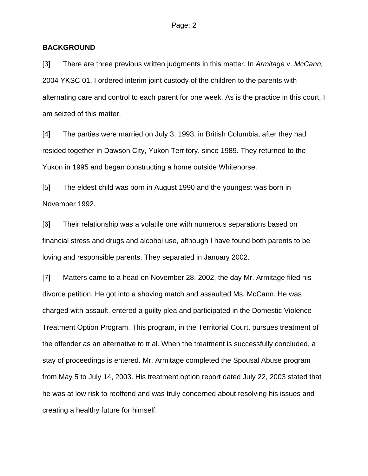### **BACKGROUND**

[3] There are three previous written judgments in this matter. In *Armitage* v. *McCann,*  2004 YKSC 01, I ordered interim joint custody of the children to the parents with alternating care and control to each parent for one week. As is the practice in this court, I am seized of this matter.

[4] The parties were married on July 3, 1993, in British Columbia, after they had resided together in Dawson City, Yukon Territory, since 1989. They returned to the Yukon in 1995 and began constructing a home outside Whitehorse.

[5] The eldest child was born in August 1990 and the youngest was born in November 1992.

[6] Their relationship was a volatile one with numerous separations based on financial stress and drugs and alcohol use, although I have found both parents to be loving and responsible parents. They separated in January 2002.

[7] Matters came to a head on November 28, 2002, the day Mr. Armitage filed his divorce petition. He got into a shoving match and assaulted Ms. McCann. He was charged with assault, entered a guilty plea and participated in the Domestic Violence Treatment Option Program. This program, in the Territorial Court, pursues treatment of the offender as an alternative to trial. When the treatment is successfully concluded, a stay of proceedings is entered. Mr. Armitage completed the Spousal Abuse program from May 5 to July 14, 2003. His treatment option report dated July 22, 2003 stated that he was at low risk to reoffend and was truly concerned about resolving his issues and creating a healthy future for himself.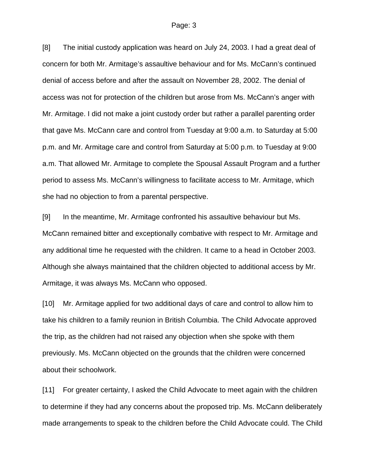[8] The initial custody application was heard on July 24, 2003. I had a great deal of concern for both Mr. Armitage's assaultive behaviour and for Ms. McCann's continued denial of access before and after the assault on November 28, 2002. The denial of access was not for protection of the children but arose from Ms. McCann's anger with Mr. Armitage. I did not make a joint custody order but rather a parallel parenting order that gave Ms. McCann care and control from Tuesday at 9:00 a.m. to Saturday at 5:00 p.m. and Mr. Armitage care and control from Saturday at 5:00 p.m. to Tuesday at 9:00 a.m. That allowed Mr. Armitage to complete the Spousal Assault Program and a further period to assess Ms. McCann's willingness to facilitate access to Mr. Armitage, which she had no objection to from a parental perspective.

[9] In the meantime, Mr. Armitage confronted his assaultive behaviour but Ms. McCann remained bitter and exceptionally combative with respect to Mr. Armitage and any additional time he requested with the children. It came to a head in October 2003. Although she always maintained that the children objected to additional access by Mr. Armitage, it was always Ms. McCann who opposed.

[10] Mr. Armitage applied for two additional days of care and control to allow him to take his children to a family reunion in British Columbia. The Child Advocate approved the trip, as the children had not raised any objection when she spoke with them previously. Ms. McCann objected on the grounds that the children were concerned about their schoolwork.

[11] For greater certainty, I asked the Child Advocate to meet again with the children to determine if they had any concerns about the proposed trip. Ms. McCann deliberately made arrangements to speak to the children before the Child Advocate could. The Child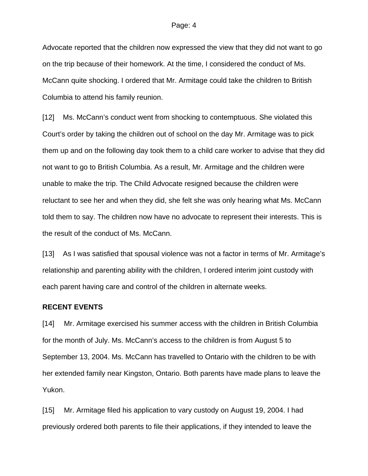#### Page: 4

Advocate reported that the children now expressed the view that they did not want to go on the trip because of their homework. At the time, I considered the conduct of Ms. McCann quite shocking. I ordered that Mr. Armitage could take the children to British Columbia to attend his family reunion.

[12] Ms. McCann's conduct went from shocking to contemptuous. She violated this Court's order by taking the children out of school on the day Mr. Armitage was to pick them up and on the following day took them to a child care worker to advise that they did not want to go to British Columbia. As a result, Mr. Armitage and the children were unable to make the trip. The Child Advocate resigned because the children were reluctant to see her and when they did, she felt she was only hearing what Ms. McCann told them to say. The children now have no advocate to represent their interests. This is the result of the conduct of Ms. McCann.

[13] As I was satisfied that spousal violence was not a factor in terms of Mr. Armitage's relationship and parenting ability with the children, I ordered interim joint custody with each parent having care and control of the children in alternate weeks.

### **RECENT EVENTS**

[14] Mr. Armitage exercised his summer access with the children in British Columbia for the month of July. Ms. McCann's access to the children is from August 5 to September 13, 2004. Ms. McCann has travelled to Ontario with the children to be with her extended family near Kingston, Ontario. Both parents have made plans to leave the Yukon.

[15] Mr. Armitage filed his application to vary custody on August 19, 2004. I had previously ordered both parents to file their applications, if they intended to leave the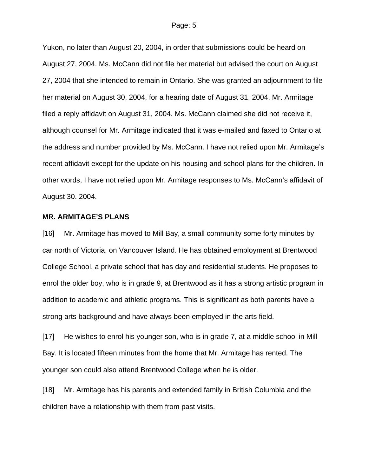#### Page: 5

Yukon, no later than August 20, 2004, in order that submissions could be heard on August 27, 2004. Ms. McCann did not file her material but advised the court on August 27, 2004 that she intended to remain in Ontario. She was granted an adjournment to file her material on August 30, 2004, for a hearing date of August 31, 2004. Mr. Armitage filed a reply affidavit on August 31, 2004. Ms. McCann claimed she did not receive it, although counsel for Mr. Armitage indicated that it was e-mailed and faxed to Ontario at the address and number provided by Ms. McCann. I have not relied upon Mr. Armitage's recent affidavit except for the update on his housing and school plans for the children. In other words, I have not relied upon Mr. Armitage responses to Ms. McCann's affidavit of August 30. 2004.

### **MR. ARMITAGE'S PLANS**

[16] Mr. Armitage has moved to Mill Bay, a small community some forty minutes by car north of Victoria, on Vancouver Island. He has obtained employment at Brentwood College School, a private school that has day and residential students. He proposes to enrol the older boy, who is in grade 9, at Brentwood as it has a strong artistic program in addition to academic and athletic programs. This is significant as both parents have a strong arts background and have always been employed in the arts field.

[17] He wishes to enrol his younger son, who is in grade 7, at a middle school in Mill Bay. It is located fifteen minutes from the home that Mr. Armitage has rented. The younger son could also attend Brentwood College when he is older.

[18] Mr. Armitage has his parents and extended family in British Columbia and the children have a relationship with them from past visits.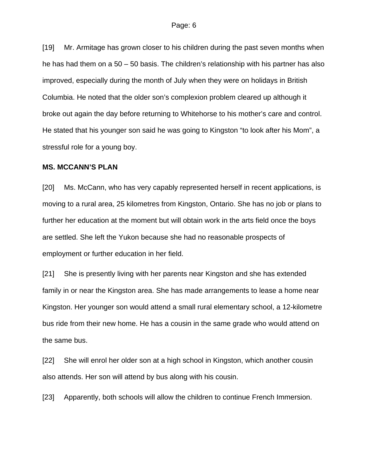[19] Mr. Armitage has grown closer to his children during the past seven months when he has had them on a 50 – 50 basis. The children's relationship with his partner has also improved, especially during the month of July when they were on holidays in British Columbia. He noted that the older son's complexion problem cleared up although it broke out again the day before returning to Whitehorse to his mother's care and control. He stated that his younger son said he was going to Kingston "to look after his Mom", a stressful role for a young boy.

### **MS. MCCANN'S PLAN**

[20] Ms. McCann, who has very capably represented herself in recent applications, is moving to a rural area, 25 kilometres from Kingston, Ontario. She has no job or plans to further her education at the moment but will obtain work in the arts field once the boys are settled. She left the Yukon because she had no reasonable prospects of employment or further education in her field.

[21] She is presently living with her parents near Kingston and she has extended family in or near the Kingston area. She has made arrangements to lease a home near Kingston. Her younger son would attend a small rural elementary school, a 12-kilometre bus ride from their new home. He has a cousin in the same grade who would attend on the same bus.

[22] She will enrol her older son at a high school in Kingston, which another cousin also attends. Her son will attend by bus along with his cousin.

[23] Apparently, both schools will allow the children to continue French Immersion.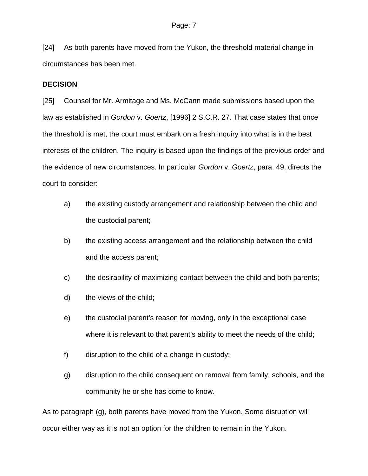[24] As both parents have moved from the Yukon, the threshold material change in circumstances has been met.

### **DECISION**

[25] Counsel for Mr. Armitage and Ms. McCann made submissions based upon the law as established in *Gordon* v. *Goertz*, [1996] 2 S.C.R. 27. That case states that once the threshold is met, the court must embark on a fresh inquiry into what is in the best interests of the children. The inquiry is based upon the findings of the previous order and the evidence of new circumstances. In particular *Gordon* v. *Goertz*, para. 49, directs the court to consider:

- a) the existing custody arrangement and relationship between the child and the custodial parent;
- b) the existing access arrangement and the relationship between the child and the access parent;
- c) the desirability of maximizing contact between the child and both parents;
- d) the views of the child;
- e) the custodial parent's reason for moving, only in the exceptional case where it is relevant to that parent's ability to meet the needs of the child;
- f) disruption to the child of a change in custody;
- g) disruption to the child consequent on removal from family, schools, and the community he or she has come to know.

As to paragraph (g), both parents have moved from the Yukon. Some disruption will occur either way as it is not an option for the children to remain in the Yukon.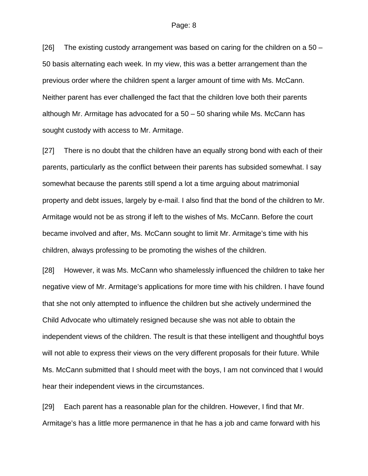[26] The existing custody arrangement was based on caring for the children on a  $50 -$ 50 basis alternating each week. In my view, this was a better arrangement than the previous order where the children spent a larger amount of time with Ms. McCann. Neither parent has ever challenged the fact that the children love both their parents although Mr. Armitage has advocated for a 50 – 50 sharing while Ms. McCann has sought custody with access to Mr. Armitage.

[27] There is no doubt that the children have an equally strong bond with each of their parents, particularly as the conflict between their parents has subsided somewhat. I say somewhat because the parents still spend a lot a time arguing about matrimonial property and debt issues, largely by e-mail. I also find that the bond of the children to Mr. Armitage would not be as strong if left to the wishes of Ms. McCann. Before the court became involved and after, Ms. McCann sought to limit Mr. Armitage's time with his children, always professing to be promoting the wishes of the children.

[28] However, it was Ms. McCann who shamelessly influenced the children to take her negative view of Mr. Armitage's applications for more time with his children. I have found that she not only attempted to influence the children but she actively undermined the Child Advocate who ultimately resigned because she was not able to obtain the independent views of the children. The result is that these intelligent and thoughtful boys will not able to express their views on the very different proposals for their future. While Ms. McCann submitted that I should meet with the boys, I am not convinced that I would hear their independent views in the circumstances.

[29] Each parent has a reasonable plan for the children. However, I find that Mr. Armitage's has a little more permanence in that he has a job and came forward with his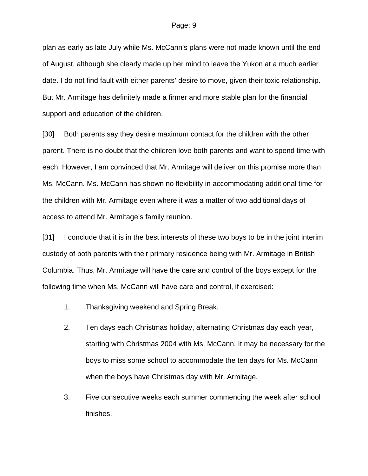plan as early as late July while Ms. McCann's plans were not made known until the end of August, although she clearly made up her mind to leave the Yukon at a much earlier date. I do not find fault with either parents' desire to move, given their toxic relationship. But Mr. Armitage has definitely made a firmer and more stable plan for the financial support and education of the children.

[30] Both parents say they desire maximum contact for the children with the other parent. There is no doubt that the children love both parents and want to spend time with each. However, I am convinced that Mr. Armitage will deliver on this promise more than Ms. McCann. Ms. McCann has shown no flexibility in accommodating additional time for the children with Mr. Armitage even where it was a matter of two additional days of access to attend Mr. Armitage's family reunion.

[31] I conclude that it is in the best interests of these two boys to be in the joint interim custody of both parents with their primary residence being with Mr. Armitage in British Columbia. Thus, Mr. Armitage will have the care and control of the boys except for the following time when Ms. McCann will have care and control, if exercised:

- 1. Thanksgiving weekend and Spring Break.
- 2. Ten days each Christmas holiday, alternating Christmas day each year, starting with Christmas 2004 with Ms. McCann. It may be necessary for the boys to miss some school to accommodate the ten days for Ms. McCann when the boys have Christmas day with Mr. Armitage.
- 3. Five consecutive weeks each summer commencing the week after school finishes.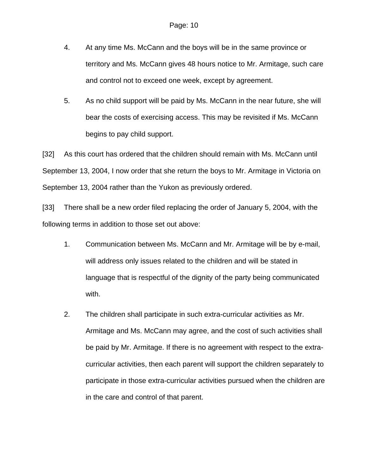- 4. At any time Ms. McCann and the boys will be in the same province or territory and Ms. McCann gives 48 hours notice to Mr. Armitage, such care and control not to exceed one week, except by agreement.
- 5. As no child support will be paid by Ms. McCann in the near future, she will bear the costs of exercising access. This may be revisited if Ms. McCann begins to pay child support.

[32] As this court has ordered that the children should remain with Ms. McCann until September 13, 2004, I now order that she return the boys to Mr. Armitage in Victoria on September 13, 2004 rather than the Yukon as previously ordered.

[33] There shall be a new order filed replacing the order of January 5, 2004, with the following terms in addition to those set out above:

- 1. Communication between Ms. McCann and Mr. Armitage will be by e-mail, will address only issues related to the children and will be stated in language that is respectful of the dignity of the party being communicated with.
- 2. The children shall participate in such extra-curricular activities as Mr. Armitage and Ms. McCann may agree, and the cost of such activities shall be paid by Mr. Armitage. If there is no agreement with respect to the extracurricular activities, then each parent will support the children separately to participate in those extra-curricular activities pursued when the children are in the care and control of that parent.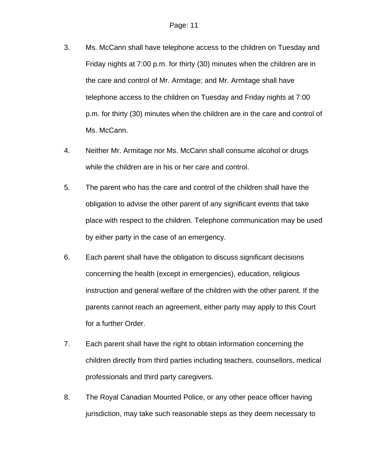- 3. Ms. McCann shall have telephone access to the children on Tuesday and Friday nights at 7:00 p.m. for thirty (30) minutes when the children are in the care and control of Mr. Armitage; and Mr. Armitage shall have telephone access to the children on Tuesday and Friday nights at 7:00 p.m. for thirty (30) minutes when the children are in the care and control of Ms. McCann.
- 4. Neither Mr. Armitage nor Ms. McCann shall consume alcohol or drugs while the children are in his or her care and control.
- 5. The parent who has the care and control of the children shall have the obligation to advise the other parent of any significant events that take place with respect to the children. Telephone communication may be used by either party in the case of an emergency.
- 6. Each parent shall have the obligation to discuss significant decisions concerning the health (except in emergencies), education, religious instruction and general welfare of the children with the other parent. If the parents cannot reach an agreement, either party may apply to this Court for a further Order.
- 7. Each parent shall have the right to obtain information concerning the children directly from third parties including teachers, counsellors, medical professionals and third party caregivers.
- 8. The Royal Canadian Mounted Police, or any other peace officer having jurisdiction, may take such reasonable steps as they deem necessary to